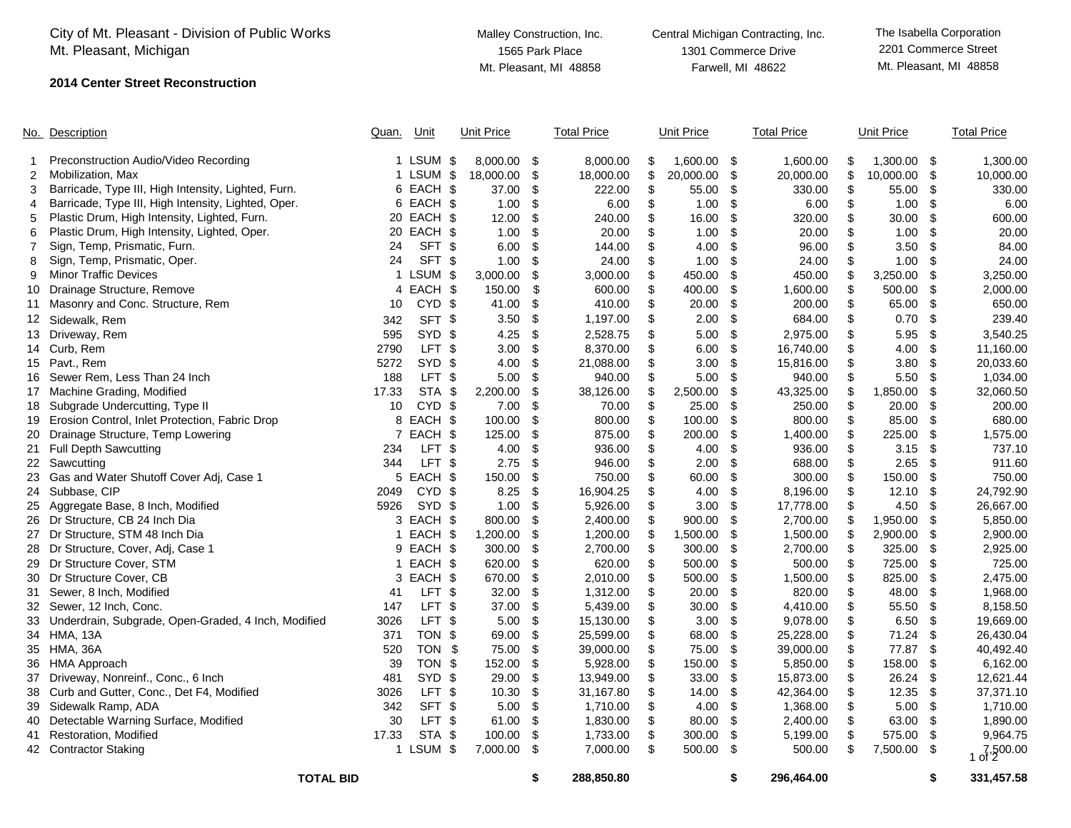|    | City of Mt. Pleasant - Division of Public Works<br>Mt. Pleasant, Michigan |       |                   | Malley Construction, Inc.<br>1565 Park Place<br>Mt. Pleasant, MI 48858 |                   |      |                    | Central Michigan Contracting, Inc.<br>1301 Commerce Drive<br>Farwell, MI 48622 |                   |      |                    | The Isabella Corporation<br>2201 Commerce Street<br>Mt. Pleasant, MI 48858 |                   |      |                    |
|----|---------------------------------------------------------------------------|-------|-------------------|------------------------------------------------------------------------|-------------------|------|--------------------|--------------------------------------------------------------------------------|-------------------|------|--------------------|----------------------------------------------------------------------------|-------------------|------|--------------------|
|    | <b>2014 Center Street Reconstruction</b>                                  |       |                   |                                                                        |                   |      |                    |                                                                                |                   |      |                    |                                                                            |                   |      |                    |
|    | No. Description                                                           | Quan. | Unit              |                                                                        | <b>Unit Price</b> |      | <b>Total Price</b> |                                                                                | <b>Unit Price</b> |      | <b>Total Price</b> |                                                                            | <b>Unit Price</b> |      | <b>Total Price</b> |
|    | Preconstruction Audio/Video Recording                                     |       | 1 LSUM \$         |                                                                        | 8,000.00          | \$   | 8,000.00           | \$                                                                             | 1,600.00 \$       |      | 1,600.00           | \$                                                                         | 1,300.00 \$       |      | 1,300.00           |
| 2  | Mobilization, Max                                                         |       | 1 LSUM \$         |                                                                        | 18,000.00         | \$   | 18,000.00          | \$                                                                             | 20,000.00         | \$   | 20,000.00          | \$                                                                         | 10,000.00 \$      |      | 10,000.00          |
| 3  | Barricade, Type III, High Intensity, Lighted, Furn.                       |       | 6 EACH \$         |                                                                        | 37.00             | \$   | 222.00             | \$                                                                             | 55.00             | \$   | 330.00             | \$                                                                         | 55.00 \$          |      | 330.00             |
| 4  | Barricade, Type III, High Intensity, Lighted, Oper.                       |       | 6 EACH \$         |                                                                        | 1.00              | \$   | 6.00               | \$                                                                             | 1.00              | \$   | 6.00               | \$                                                                         | $1.00$ \$         |      | 6.00               |
| 5  | Plastic Drum, High Intensity, Lighted, Furn.                              |       | 20 EACH \$        |                                                                        | 12.00             | \$   | 240.00             | \$                                                                             | 16.00             | \$   | 320.00             | \$                                                                         | 30.00             | -\$  | 600.00             |
| 6  | Plastic Drum, High Intensity, Lighted, Oper.                              |       | 20 EACH \$        |                                                                        | 1.00              | \$   | 20.00              | \$                                                                             | 1.00              | \$   | 20.00              | \$                                                                         | $1.00$ \$         |      | 20.00              |
|    | Sign, Temp, Prismatic, Furn.                                              | 24    | SFT \$            |                                                                        | 6.00              | \$   | 144.00             | \$                                                                             | 4.00              | \$   | 96.00              | \$                                                                         | 3.50 $$$          |      | 84.00              |
| 8  | Sign, Temp, Prismatic, Oper.                                              | 24    | SFT \$            |                                                                        | 1.00              | \$   | 24.00              | \$                                                                             | 1.00              | \$   | 24.00              | \$                                                                         | $1.00$ \$         |      | 24.00              |
| 9  | <b>Minor Traffic Devices</b>                                              |       | 1 LSUM \$         |                                                                        | 3,000.00          | \$   | 3,000.00           | \$                                                                             | 450.00            | \$   | 450.00             | \$                                                                         | $3,250.00$ \$     |      | 3,250.00           |
| 10 | Drainage Structure, Remove                                                | 4     | EACH \$           |                                                                        | 150.00            | \$   | 600.00             | \$                                                                             | 400.00            | \$   | 1,600.00           | \$                                                                         | 500.00 \$         |      | 2,000.00           |
|    | 11 Masonry and Conc. Structure, Rem                                       | 10    | CYD \$            |                                                                        | 41.00             | \$   | 410.00             | \$                                                                             | 20.00             | \$   | 200.00             | \$                                                                         | 65.00 \$          |      | 650.00             |
|    | 12 Sidewalk, Rem                                                          | 342   | SFT \$            |                                                                        | 3.50              | \$   | 1,197.00           | \$                                                                             | 2.00              | \$   | 684.00             | \$                                                                         | $0.70$ \$         |      | 239.40             |
|    | 13 Driveway, Rem                                                          | 595   | SYD \$            |                                                                        | 4.25              | \$   | 2,528.75           |                                                                                | 5.00              | \$   | 2,975.00           | \$                                                                         | $5.95$ \$         |      | 3,540.25           |
|    | 14 Curb, Rem                                                              | 2790  | LFT \$            |                                                                        | 3.00              | \$   | 8,370.00           |                                                                                | 6.00              | \$   | 16,740.00          | \$                                                                         | 4.00 $$$          |      | 11,160.00          |
|    | 15 Pavt., Rem                                                             | 5272  | SYD <sub>\$</sub> |                                                                        | 4.00              | \$   | 21,088.00          |                                                                                | 3.00              | \$   | 15,816.00          | \$                                                                         | $3.80$ \$         |      | 20,033.60          |
|    | 16 Sewer Rem, Less Than 24 Inch                                           | 188   | LFT <sub>\$</sub> |                                                                        | 5.00              | \$   | 940.00             | \$                                                                             | 5.00              | \$   | 940.00             | \$                                                                         | $5.50$ \$         |      | 1,034.00           |
|    | 17 Machine Grading, Modified                                              | 17.33 | STA \$            |                                                                        | 2,200.00          | \$   | 38,126.00          |                                                                                | 2,500.00          | \$   | 43,325.00          | S                                                                          | 1,850.00 \$       |      | 32,060.50          |
|    | 18 Subgrade Undercutting, Type II                                         | 10    | CYD <sub>\$</sub> |                                                                        | 7.00              | \$   | 70.00              | \$                                                                             | 25.00             | \$   | 250.00             | \$                                                                         | 20.00             | \$   | 200.00             |
| 19 | Erosion Control, Inlet Protection, Fabric Drop                            | 8     | EACH \$           |                                                                        | 100.00            | \$   | 800.00             | \$                                                                             | 100.00            | \$   | 800.00             | \$                                                                         | 85.00 \$          |      | 680.00             |
|    | 20 Drainage Structure, Temp Lowering                                      |       | 7 EACH \$         |                                                                        | 125.00            | \$   | 875.00             | \$                                                                             | 200.00            | \$   | 1,400.00           | \$                                                                         | 225.00            | \$   | 1,575.00           |
|    | 21 Full Depth Sawcutting                                                  | 234   | LFT \$            |                                                                        | 4.00              | \$   | 936.00             | \$                                                                             | 4.00              | \$   | 936.00             | \$                                                                         | $3.15$ \$         |      | 737.10             |
|    | 22 Sawcutting                                                             | 344   | LFT \$            |                                                                        | 2.75              | \$   | 946.00             |                                                                                | 2.00              | \$   | 688.00             | \$                                                                         | 2.65              | - \$ | 911.60             |
|    | 23 Gas and Water Shutoff Cover Adj, Case 1                                |       | 5 EACH \$         |                                                                        | 150.00            | \$   | 750.00             | \$                                                                             | 60.00             | \$   | 300.00             | \$                                                                         | 150.00            | \$   | 750.00             |
|    | 24 Subbase, CIP                                                           | 2049  | <b>CYD</b>        | -\$                                                                    | 8.25              | \$   | 16,904.25          | \$                                                                             | 4.00              | \$   | 8,196.00           | \$                                                                         | $12.10$ \$        |      | 24,792.90          |
|    | 25 Aggregate Base, 8 Inch, Modified                                       | 5926  | SYD \$            |                                                                        | 1.00              | \$   | 5,926.00           | \$                                                                             | 3.00              | \$   | 17,778.00          | \$                                                                         | $4.50$ \$         |      | 26,667.00          |
|    | 26 Dr Structure, CB 24 Inch Dia                                           |       | 3 EACH \$         |                                                                        | 800.00            | \$   | 2,400.00           |                                                                                | 900.00            | \$   | 2,700.00           | \$                                                                         | 1,950.00 \$       |      | 5,850.00           |
|    | 27 Dr Structure, STM 48 Inch Dia                                          |       | 1 EACH \$         |                                                                        | 1,200.00          | \$   | 1,200.00           |                                                                                | 1,500.00          | \$   | 1,500.00           | \$                                                                         | 2,900.00 \$       |      | 2,900.00           |
|    | 28 Dr Structure, Cover, Adj, Case 1                                       |       | 9 EACH \$         |                                                                        | 300.00            | \$   | 2,700.00           | \$                                                                             | 300.00            | \$   | 2,700.00           | \$                                                                         | 325.00            | \$   | 2,925.00           |
|    | 29 Dr Structure Cover, STM                                                |       | 1 EACH \$         |                                                                        | 620.00            | \$   | 620.00             | \$                                                                             | 500.00            | \$   | 500.00             | \$                                                                         | 725.00 \$         |      | 725.00             |
|    | 30 Dr Structure Cover, CB                                                 |       | 3 EACH \$         |                                                                        | 670.00            | \$   | 2,010.00           | \$                                                                             | 500.00            | \$   | 1,500.00           | \$                                                                         | 825.00 \$         |      | 2,475.00           |
|    | 31 Sewer, 8 Inch, Modified                                                | 41    | LFT \$            |                                                                        | 32.00             | \$   | 1,312.00           | \$                                                                             | 20.00             | \$   | 820.00             | \$                                                                         | 48.00 \$          |      | 1,968.00           |
|    | 32 Sewer, 12 Inch, Conc.                                                  | 147   | LFT \$            |                                                                        | 37.00             | \$   | 5,439.00           |                                                                                | 30.00             | \$   | 4,410.00           | \$                                                                         | 55.50 \$          |      | 8,158.50           |
|    | 33 Underdrain, Subgrade, Open-Graded, 4 Inch, Modified                    | 3026  | LFT \$            |                                                                        | 5.00              | \$   | 15,130.00          | \$                                                                             | 3.00              | -\$  | 9,078.00           | \$                                                                         | $6.50$ \$         |      | 19,669.00          |
|    | 34 HMA, 13A                                                               | 371   | TON \$            |                                                                        | 69.00             | \$   | 25,599.00          | \$                                                                             | 68.00             | - \$ | 25,228.00          | \$                                                                         | $71.24$ \$        |      | 26,430.04          |
|    | 35 HMA, 36A                                                               | 520   | TON \$            |                                                                        | 75.00             | - \$ | 39,000.00          |                                                                                | 75.00             | -S   | 39,000.00          | \$                                                                         | 77.87 \$          |      | 40,492.40          |
|    | 36 HMA Approach                                                           | 39    | TON \$            |                                                                        | 152.00            | - \$ | 5,928.00           |                                                                                | 150.00            | \$   | 5,850.00           | \$                                                                         | 158.00 \$         |      | 6,162.00           |
|    | 37 Driveway, Nonreinf., Conc., 6 Inch                                     | 481   | SYD \$            |                                                                        | 29.00             | \$   | 13,949.00          |                                                                                | 33.00             | \$   | 15,873.00          | \$                                                                         | 26.24 \$          |      | 12,621.44          |
|    | 38 Curb and Gutter, Conc., Det F4, Modified                               | 3026  | LFT \$            |                                                                        | 10.30             | \$   | 31,167.80          |                                                                                | 14.00             | \$   | 42,364.00          | \$                                                                         | $12.35$ \$        |      | 37,371.10          |
|    | 39 Sidewalk Ramp, ADA                                                     | 342   | SFT \$            |                                                                        | 5.00              | - \$ | 1,710.00           |                                                                                | 4.00              | \$   | 1,368.00           | \$                                                                         | $5.00$ \$         |      | 1,710.00           |
| 40 | Detectable Warning Surface, Modified                                      | 30    | LFT \$            |                                                                        | 61.00             | -\$  | 1,830.00           |                                                                                | 80.00             | -\$  | 2,400.00           | \$                                                                         | 63.00 \$          |      | 1,890.00           |
| 41 | Restoration, Modified                                                     | 17.33 | STA \$            |                                                                        | 100.00            | -\$  | 1,733.00           |                                                                                | 300.00            | -\$  | 5,199.00           | \$                                                                         | 575.00 \$         |      | 9,964.75           |
|    | 42 Contractor Staking                                                     |       | 1 LSUM \$         |                                                                        | 7,000.00 \$       |      | 7,000.00           | \$                                                                             | 500.00 \$         |      | 500.00             | \$                                                                         | 7,500.00 \$       |      | 1 of 200.00        |
|    | <b>TOTAL BID</b>                                                          |       |                   |                                                                        |                   | \$   | 288,850.80         |                                                                                |                   | \$   | 296,464.00         |                                                                            |                   | \$   | 331,457.58         |